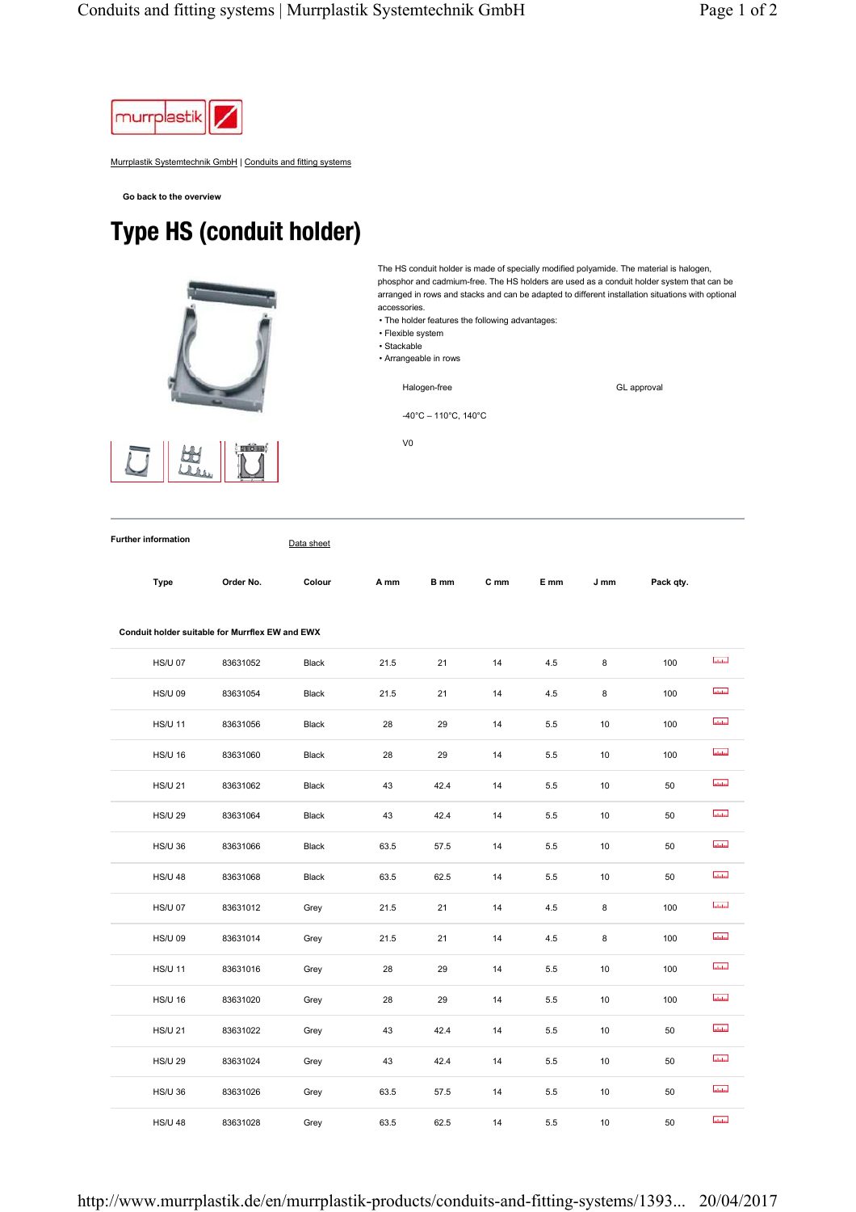

Murrplastik Systemtechnik GmbH | Conduits and fitting systems

**Go back to the overview**

## Type HS (conduit holder)



The HS conduit holder is made of specially modified polyamide. The material is halogen, phosphor and cadmium-free. The HS holders are used as a conduit holder system that can be arranged in rows and stacks and can be adapted to different installation situations with optional accessories.

- The holder features the following advantages:
- Flexible system
- Stackable
- Arrangeable in rows

Halogen-free

GL approval

-40°C – 110°C, 140°C

V0

**Type Order No. Colour A mm B mm C mm E mm J mm Pack qty.**

**Further information** Data sheet

**Conduit holder suitable for Murrflex EW and EWX**  Intotal HS/U 07 83631052 Black 21.5 21 14 4.5 8 100 ulului HS/U 09 83631054 Black 21.5 21 14 4.5 8 100 **Laurent** HS/U 11 83631056 Black 28 29 14 5.5 10 100 **atalan** HS/U 16 83631060 Black 28 29 14 5.5 10 100 mluluu HS/U 21 83631062 Black 43 42.4 14 5.5 10 50 **Intuition** HS/U 29 83631064 Black 43 42.4 14 5.5 10 50 **Industria** HS/U 36 83631066 Black 63.5 57.5 14 5.5 10 50 **Interference** HS/U 48 83631068 Black 63.5 62.5 14 5.5 10 50  $\overline{\text{hadad}}$ HS/U 07 83631012 Grey 21.5 21 14 4.5 8 100 **utului** HS/U 09 83631014 Grey 21.5 21 14 4.5 8 100 **Indiana** HS/U 11 83631016 Grey 28 29 14 5.5 10 100 **Infuline** HS/U 16 83631020 Grey 28 29 14 5.5 10 100 mlului HS/U 21 83631022 Grey 43 42.4 14 5.5 10 50  $_{\rm{shabm}}$ HS/U 29 83631024 Grey 43 42.4 14 5.5 10 50 **Indiana** HS/U 36 83631026 Grey 63.5 57.5 14 5.5 10 50 **Indular** HS/U 48 83631028 Grey 63.5 62.5 14 5.5 10 50